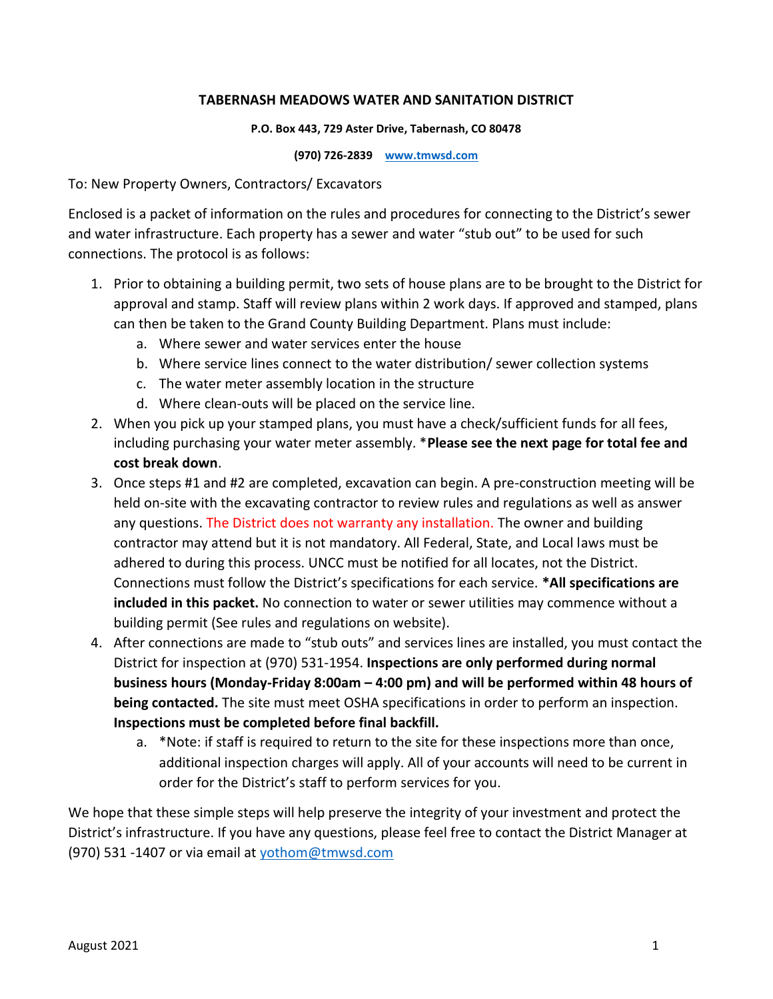## **TABERNASH MEADOWS WATER AND SANITATION DISTRICT**

#### **P.O. Box 443, 729 Aster Drive, Tabernash, CO 80478**

**(970) 726-2839 [www.tmwsd.com](http://www.tmwsd.com/)**

To: New Property Owners, Contractors/ Excavators

Enclosed is a packet of information on the rules and procedures for connecting to the District's sewer and water infrastructure. Each property has a sewer and water "stub out" to be used for such connections. The protocol is as follows:

- 1. Prior to obtaining a building permit, two sets of house plans are to be brought to the District for approval and stamp. Staff will review plans within 2 work days. If approved and stamped, plans can then be taken to the Grand County Building Department. Plans must include:
	- a. Where sewer and water services enter the house
	- b. Where service lines connect to the water distribution/ sewer collection systems
	- c. The water meter assembly location in the structure
	- d. Where clean-outs will be placed on the service line.
- 2. When you pick up your stamped plans, you must have a check/sufficient funds for all fees, including purchasing your water meter assembly. \***Please see the next page for total fee and cost break down**.
- 3. Once steps #1 and #2 are completed, excavation can begin. A pre-construction meeting will be held on-site with the excavating contractor to review rules and regulations as well as answer any questions. The District does not warranty any installation. The owner and building contractor may attend but it is not mandatory. All Federal, State, and Local laws must be adhered to during this process. UNCC must be notified for all locates, not the District. Connections must follow the District's specifications for each service. **\*All specifications are included in this packet.** No connection to water or sewer utilities may commence without a building permit (See rules and regulations on website).
- 4. After connections are made to "stub outs" and services lines are installed, you must contact the District for inspection at (970) 531-1954. **Inspections are only performed during normal business hours (Monday-Friday 8:00am – 4:00 pm) and will be performed within 48 hours of being contacted.** The site must meet OSHA specifications in order to perform an inspection. **Inspections must be completed before final backfill.**
	- a. \*Note: if staff is required to return to the site for these inspections more than once, additional inspection charges will apply. All of your accounts will need to be current in order for the District's staff to perform services for you.

We hope that these simple steps will help preserve the integrity of your investment and protect the District's infrastructure. If you have any questions, please feel free to contact the District Manager at (970) 531 -1407 or via email at [yothom@tmwsd.com](mailto:yothom@tmwsd.com)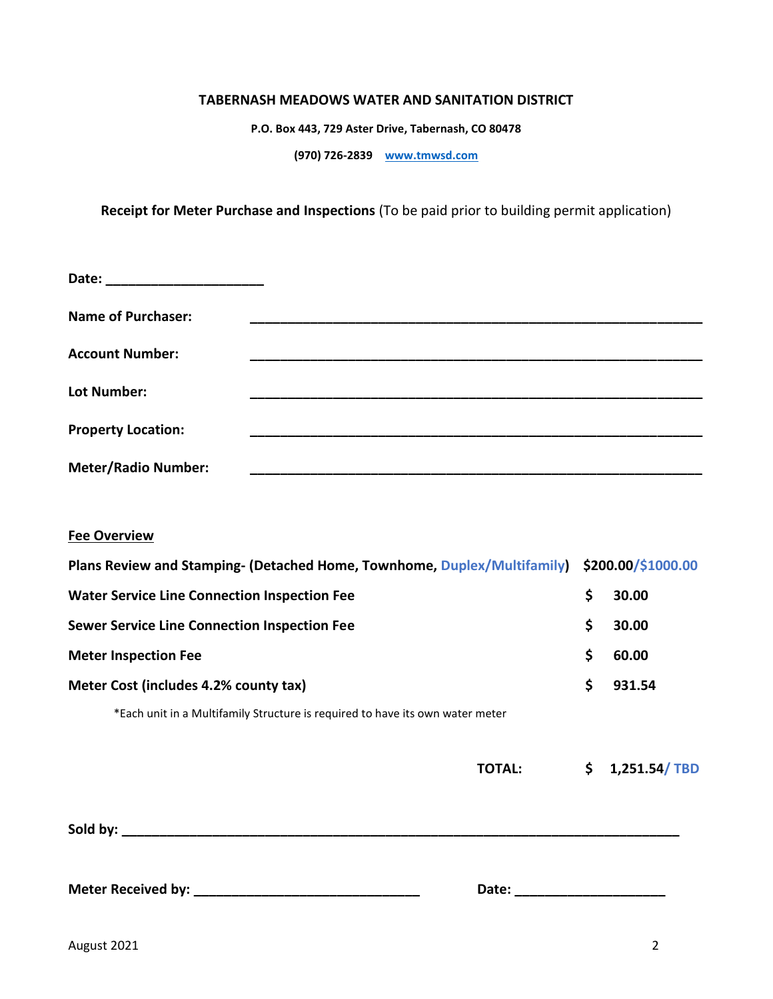#### **TABERNASH MEADOWS WATER AND SANITATION DISTRICT**

**P.O. Box 443, 729 Aster Drive, Tabernash, CO 80478**

**(970) 726-2839 [www.tmwsd.com](http://www.tmwsd.com/)**

**Receipt for Meter Purchase and Inspections** (To be paid prior to building permit application)

| Date:                      |  |
|----------------------------|--|
| <b>Name of Purchaser:</b>  |  |
| <b>Account Number:</b>     |  |
| Lot Number:                |  |
| <b>Property Location:</b>  |  |
| <b>Meter/Radio Number:</b> |  |

## **Fee Overview**

| Plans Review and Stamping- (Detached Home, Townhome, Duplex/Multifamily) \$200.00/\$1000.00 |               |    |              |
|---------------------------------------------------------------------------------------------|---------------|----|--------------|
| <b>Water Service Line Connection Inspection Fee</b>                                         |               | \$ | 30.00        |
| <b>Sewer Service Line Connection Inspection Fee</b>                                         |               | \$ | 30.00        |
| <b>Meter Inspection Fee</b>                                                                 |               | \$ | 60.00        |
| Meter Cost (includes 4.2% county tax)                                                       |               | \$ | 931.54       |
| *Each unit in a Multifamily Structure is required to have its own water meter               |               |    |              |
|                                                                                             |               |    |              |
|                                                                                             | <b>TOTAL:</b> | S  | 1,251.54/TBD |

**Sold by: \_\_\_\_\_\_\_\_\_\_\_\_\_\_\_\_\_\_\_\_\_\_\_\_\_\_\_\_\_\_\_\_\_\_\_\_\_\_\_\_\_\_\_\_\_\_\_\_\_\_\_\_\_\_\_\_\_\_\_\_\_\_\_\_\_\_\_\_\_\_\_\_\_\_**

**Meter Received by: \_\_\_\_\_\_\_\_\_\_\_\_\_\_\_\_\_\_\_\_\_\_\_\_\_\_\_\_\_\_ Date: \_\_\_\_\_\_\_\_\_\_\_\_\_\_\_\_\_\_\_\_**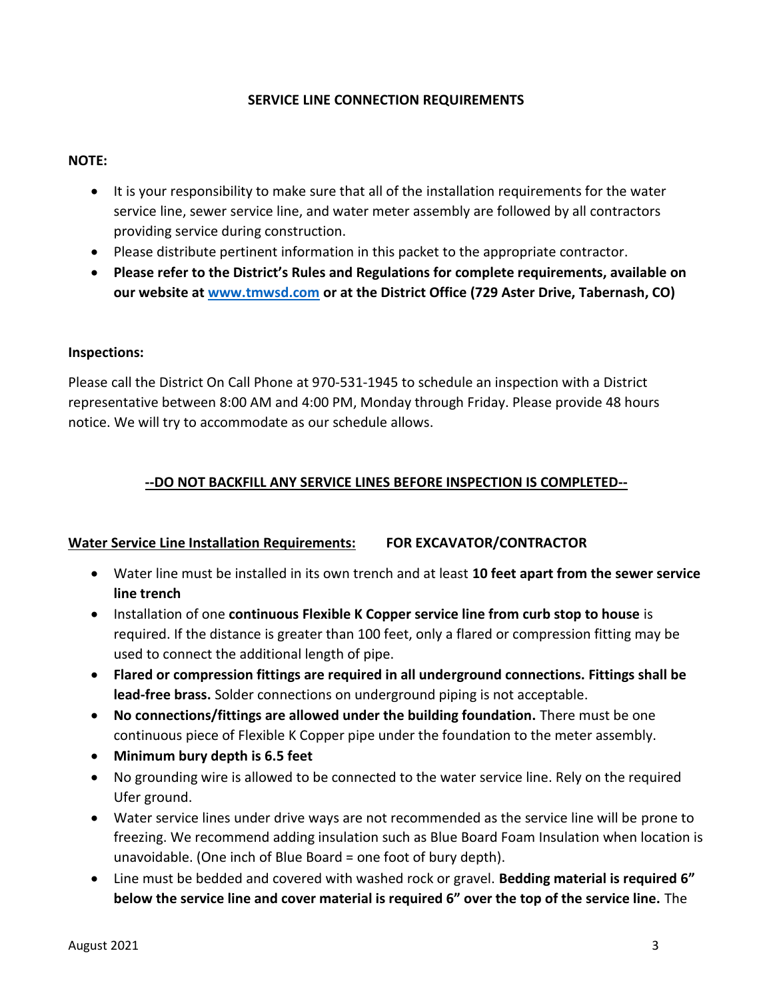## **SERVICE LINE CONNECTION REQUIREMENTS**

### **NOTE:**

- It is your responsibility to make sure that all of the installation requirements for the water service line, sewer service line, and water meter assembly are followed by all contractors providing service during construction.
- Please distribute pertinent information in this packet to the appropriate contractor.
- **Please refer to the District's Rules and Regulations for complete requirements, available on our website a[t www.tmwsd.com](http://www.tmwsd.com/) or at the District Office (729 Aster Drive, Tabernash, CO)**

## **Inspections:**

Please call the District On Call Phone at 970-531-1945 to schedule an inspection with a District representative between 8:00 AM and 4:00 PM, Monday through Friday. Please provide 48 hours notice. We will try to accommodate as our schedule allows.

## **--DO NOT BACKFILL ANY SERVICE LINES BEFORE INSPECTION IS COMPLETED--**

## **Water Service Line Installation Requirements: FOR EXCAVATOR/CONTRACTOR**

- Water line must be installed in its own trench and at least **10 feet apart from the sewer service line trench**
- Installation of one **continuous Flexible K Copper service line from curb stop to house** is required. If the distance is greater than 100 feet, only a flared or compression fitting may be used to connect the additional length of pipe.
- **Flared or compression fittings are required in all underground connections. Fittings shall be lead-free brass.** Solder connections on underground piping is not acceptable.
- **No connections/fittings are allowed under the building foundation.** There must be one continuous piece of Flexible K Copper pipe under the foundation to the meter assembly.
- **Minimum bury depth is 6.5 feet**
- No grounding wire is allowed to be connected to the water service line. Rely on the required Ufer ground.
- Water service lines under drive ways are not recommended as the service line will be prone to freezing. We recommend adding insulation such as Blue Board Foam Insulation when location is unavoidable. (One inch of Blue Board = one foot of bury depth).
- Line must be bedded and covered with washed rock or gravel. **Bedding material is required 6" below the service line and cover material is required 6" over the top of the service line.** The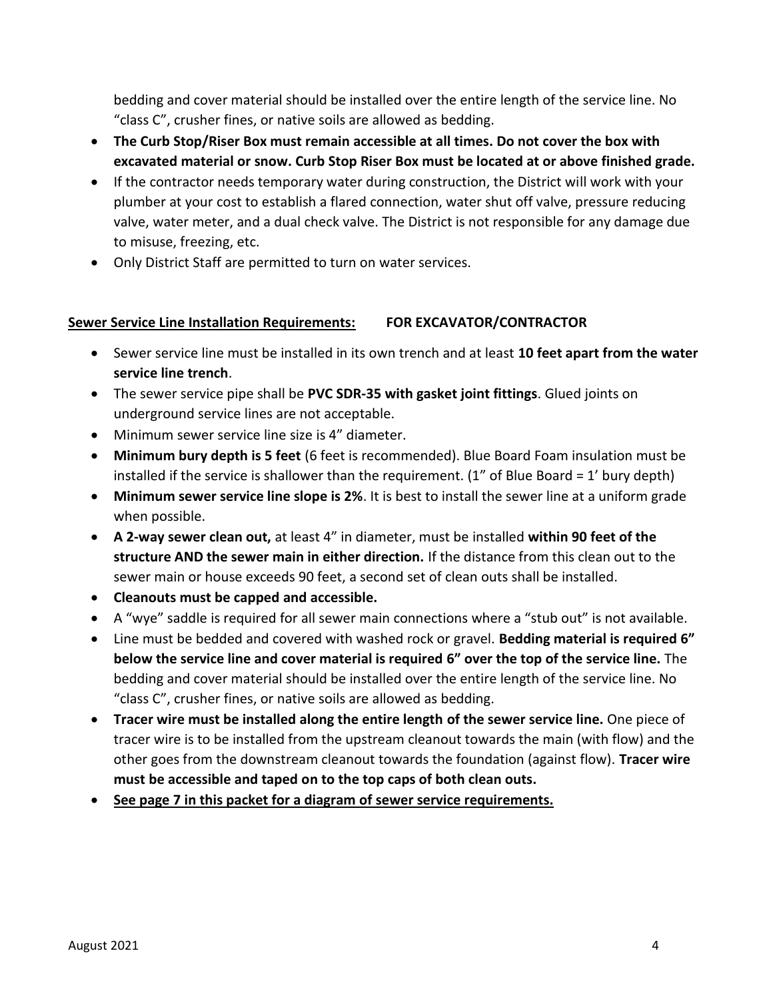bedding and cover material should be installed over the entire length of the service line. No "class C", crusher fines, or native soils are allowed as bedding.

- **The Curb Stop/Riser Box must remain accessible at all times. Do not cover the box with excavated material or snow. Curb Stop Riser Box must be located at or above finished grade.**
- If the contractor needs temporary water during construction, the District will work with your plumber at your cost to establish a flared connection, water shut off valve, pressure reducing valve, water meter, and a dual check valve. The District is not responsible for any damage due to misuse, freezing, etc.
- Only District Staff are permitted to turn on water services.

## **Sewer Service Line Installation Requirements: FOR EXCAVATOR/CONTRACTOR**

- Sewer service line must be installed in its own trench and at least **10 feet apart from the water service line trench**.
- The sewer service pipe shall be **PVC SDR-35 with gasket joint fittings**. Glued joints on underground service lines are not acceptable.
- Minimum sewer service line size is 4" diameter.
- **Minimum bury depth is 5 feet** (6 feet is recommended). Blue Board Foam insulation must be installed if the service is shallower than the requirement. ( $1''$  of Blue Board =  $1'$  bury depth)
- **Minimum sewer service line slope is 2%**. It is best to install the sewer line at a uniform grade when possible.
- **A 2-way sewer clean out,** at least 4" in diameter, must be installed **within 90 feet of the structure AND the sewer main in either direction.** If the distance from this clean out to the sewer main or house exceeds 90 feet, a second set of clean outs shall be installed.
- **Cleanouts must be capped and accessible.**
- A "wye" saddle is required for all sewer main connections where a "stub out" is not available.
- Line must be bedded and covered with washed rock or gravel. **Bedding material is required 6" below the service line and cover material is required 6" over the top of the service line.** The bedding and cover material should be installed over the entire length of the service line. No "class C", crusher fines, or native soils are allowed as bedding.
- **Tracer wire must be installed along the entire length of the sewer service line.** One piece of tracer wire is to be installed from the upstream cleanout towards the main (with flow) and the other goes from the downstream cleanout towards the foundation (against flow). **Tracer wire must be accessible and taped on to the top caps of both clean outs.**
- **See page 7 in this packet for a diagram of sewer service requirements.**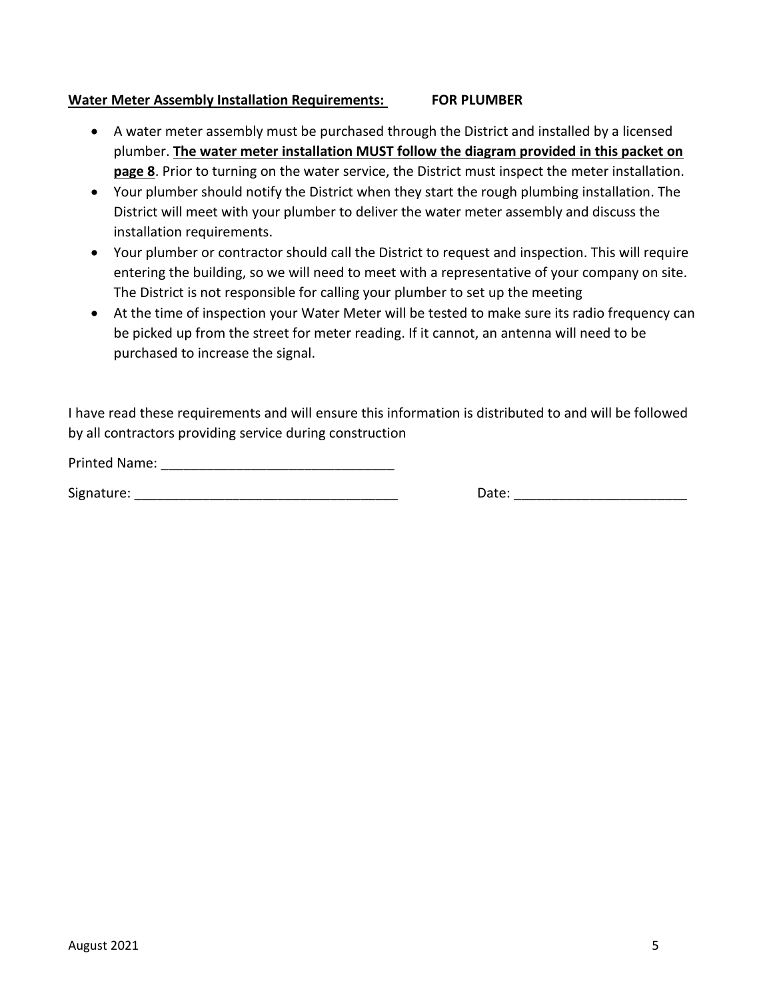## **Water Meter Assembly Installation Requirements: FOR PLUMBER**

- A water meter assembly must be purchased through the District and installed by a licensed plumber. **The water meter installation MUST follow the diagram provided in this packet on page 8**. Prior to turning on the water service, the District must inspect the meter installation.
- Your plumber should notify the District when they start the rough plumbing installation. The District will meet with your plumber to deliver the water meter assembly and discuss the installation requirements.
- Your plumber or contractor should call the District to request and inspection. This will require entering the building, so we will need to meet with a representative of your company on site. The District is not responsible for calling your plumber to set up the meeting
- At the time of inspection your Water Meter will be tested to make sure its radio frequency can be picked up from the street for meter reading. If it cannot, an antenna will need to be purchased to increase the signal.

I have read these requirements and will ensure this information is distributed to and will be followed by all contractors providing service during construction

Printed Name: \_\_\_\_\_\_\_\_\_\_\_\_\_\_\_\_\_\_\_\_\_\_\_\_\_\_\_\_\_\_\_

Signature: The contract of the contract of the contract of the contract of the contract of the contract of the contract of the contract of the contract of the contract of the contract of the contract of the contract of the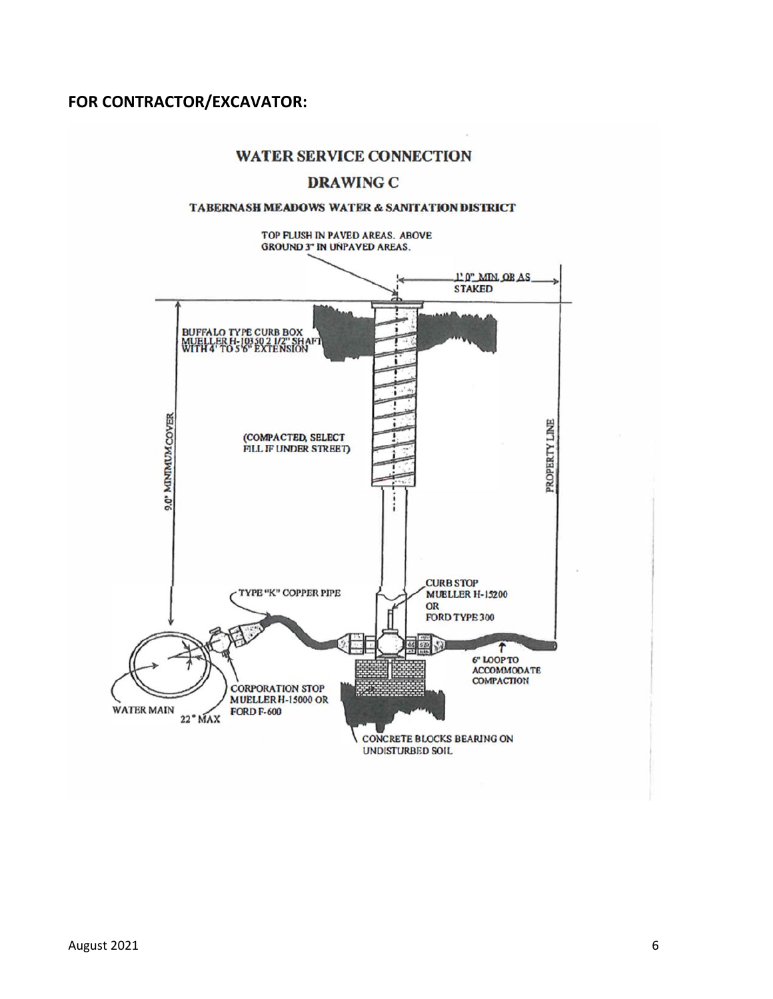## **FOR CONTRACTOR/EXCAVATOR:**

## **WATER SERVICE CONNECTION**

## **DRAWING C**

#### TABERNASH MEADOWS WATER & SANITATION DISTRICT

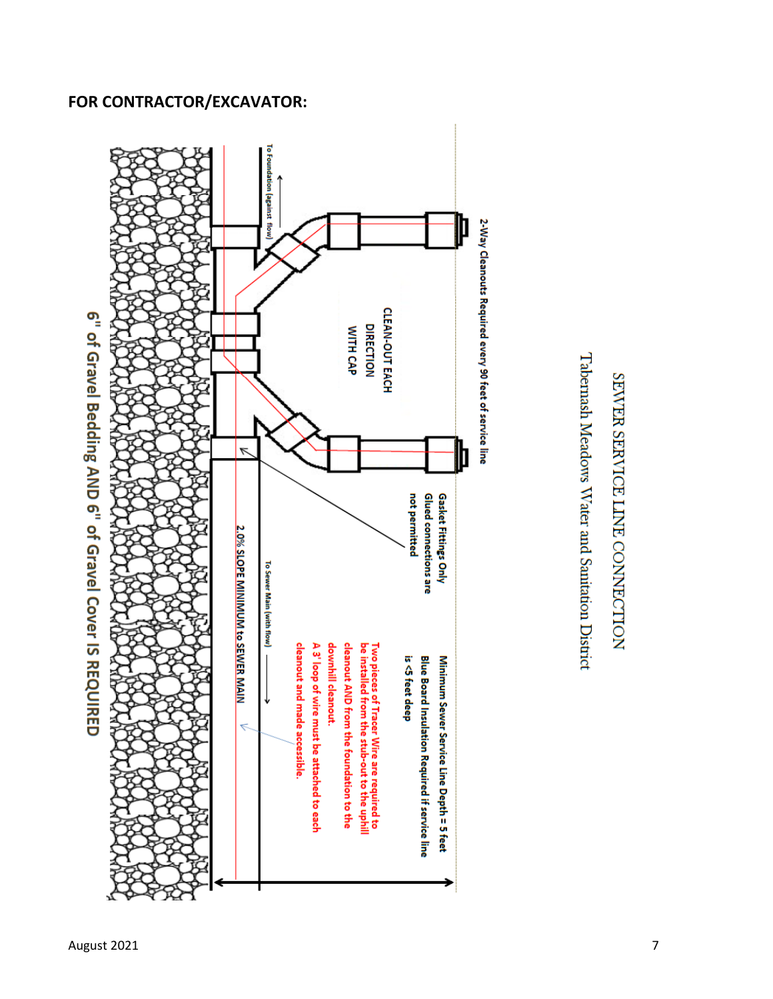# **FOR CONTRACTOR/EXCAVATOR:**





Tabernash Meadows Water and Sanitation District